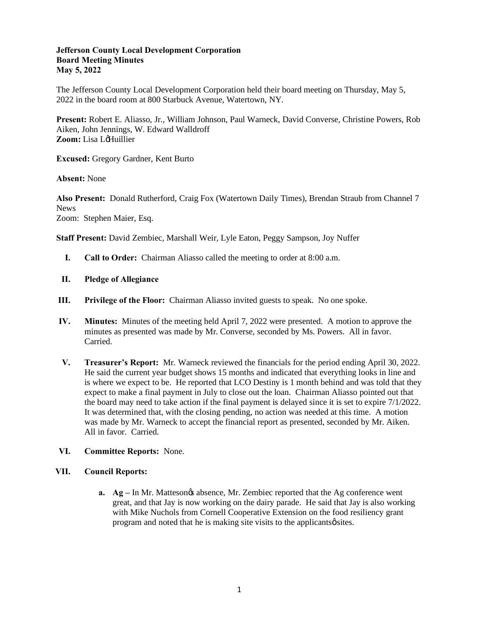#### **Jefferson County Local Development Corporation Board Meeting Minutes May 5, 2022**

The Jefferson County Local Development Corporation held their board meeting on Thursday, May 5, 2022 in the board room at 800 Starbuck Avenue, Watertown, NY.

**Present:** Robert E. Aliasso, Jr., William Johnson, Paul Warneck, David Converse, Christine Powers, Rob Aiken, John Jennings, W. Edward Walldroff **Zoom:** Lisa LoHuillier

**Excused:** Gregory Gardner, Kent Burto

**Absent:** None

**Also Present:** Donald Rutherford, Craig Fox (Watertown Daily Times), Brendan Straub from Channel 7 News Zoom: Stephen Maier, Esq.

**Staff Present:** David Zembiec, Marshall Weir, Lyle Eaton, Peggy Sampson, Joy Nuffer

- **I. Call to Order:** Chairman Aliasso called the meeting to order at 8:00 a.m.
- **II. Pledge of Allegiance**
- **III. Privilege of the Floor:** Chairman Aliasso invited guests to speak. No one spoke.
- **IV. Minutes:** Minutes of the meeting held April 7, 2022 were presented. A motion to approve the minutes as presented was made by Mr. Converse, seconded by Ms. Powers. All in favor. Carried.
- **V. Treasurer's Report:** Mr. Warneck reviewed the financials for the period ending April 30, 2022. He said the current year budget shows 15 months and indicated that everything looks in line and is where we expect to be. He reported that LCO Destiny is 1 month behind and was told that they expect to make a final payment in July to close out the loan. Chairman Aliasso pointed out that the board may need to take action if the final payment is delayed since it is set to expire 7/1/2022. It was determined that, with the closing pending, no action was needed at this time. A motion was made by Mr. Warneck to accept the financial report as presented, seconded by Mr. Aiken. All in favor. Carried.

# **VI. Committee Reports:** None.

# **VII. Council Reports:**

**a. Ag** – In Mr. Mattesongs absence, Mr. Zembiec reported that the Ag conference went great, and that Jay is now working on the dairy parade. He said that Jay is also working with Mike Nuchols from Cornell Cooperative Extension on the food resiliency grant program and noted that he is making site visits to the applicants  $\phi$  sites.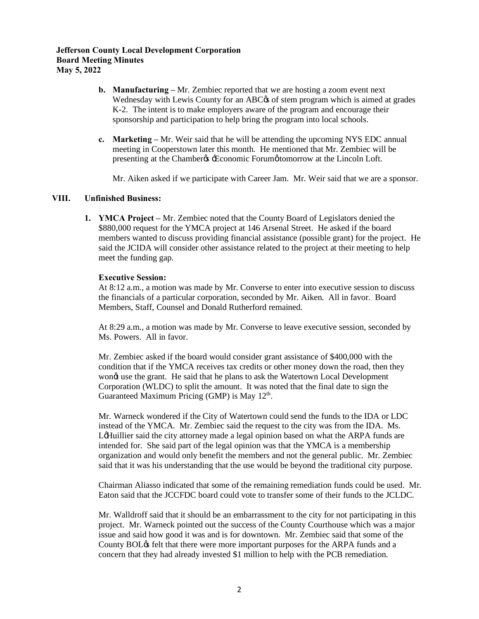# **Jefferson County Local Development Corporation Board Meeting Minutes May 5, 2022**

- **b. Manufacturing –** Mr. Zembiec reported that we are hosting a zoom event next Wednesday with Lewis County for an ABC $\alpha$  of stem program which is aimed at grades K-2. The intent is to make employers aware of the program and encourage their sponsorship and participation to help bring the program into local schools.
- **c. Marketing** Mr. Weir said that he will be attending the upcoming NYS EDC annual meeting in Cooperstown later this month. He mentioned that Mr. Zembiec will be presenting at the Chamber & Economic Forum tomorrow at the Lincoln Loft.

Mr. Aiken asked if we participate with Career Jam. Mr. Weir said that we are a sponsor.

# **VIII. Unfinished Business:**

**1. YMCA Project –** Mr. Zembiec noted that the County Board of Legislators denied the \$880,000 request for the YMCA project at 146 Arsenal Street. He asked if the board members wanted to discuss providing financial assistance (possible grant) for the project. He said the JCIDA will consider other assistance related to the project at their meeting to help meet the funding gap.

#### **Executive Session:**

At 8:12 a.m., a motion was made by Mr. Converse to enter into executive session to discuss the financials of a particular corporation, seconded by Mr. Aiken. All in favor. Board Members, Staff, Counsel and Donald Rutherford remained.

At 8:29 a.m., a motion was made by Mr. Converse to leave executive session, seconded by Ms. Powers. All in favor.

Mr. Zembiec asked if the board would consider grant assistance of \$400,000 with the condition that if the YMCA receives tax credits or other money down the road, then they wong use the grant. He said that he plans to ask the Watertown Local Development Corporation (WLDC) to split the amount. It was noted that the final date to sign the Guaranteed Maximum Pricing (GMP) is May  $12<sup>th</sup>$ .

Mr. Warneck wondered if the City of Watertown could send the funds to the IDA or LDC instead of the YMCA. Mr. Zembiec said the request to the city was from the IDA. Ms. LeHuillier said the city attorney made a legal opinion based on what the ARPA funds are intended for. She said part of the legal opinion was that the YMCA is a membership organization and would only benefit the members and not the general public. Mr. Zembiec said that it was his understanding that the use would be beyond the traditional city purpose.

Chairman Aliasso indicated that some of the remaining remediation funds could be used. Mr. Eaton said that the JCCFDC board could vote to transfer some of their funds to the JCLDC.

Mr. Walldroff said that it should be an embarrassment to the city for not participating in this project. Mr. Warneck pointed out the success of the County Courthouse which was a major issue and said how good it was and is for downtown. Mr. Zembiec said that some of the County BOL $\alpha$  felt that there were more important purposes for the ARPA funds and a concern that they had already invested \$1 million to help with the PCB remediation.